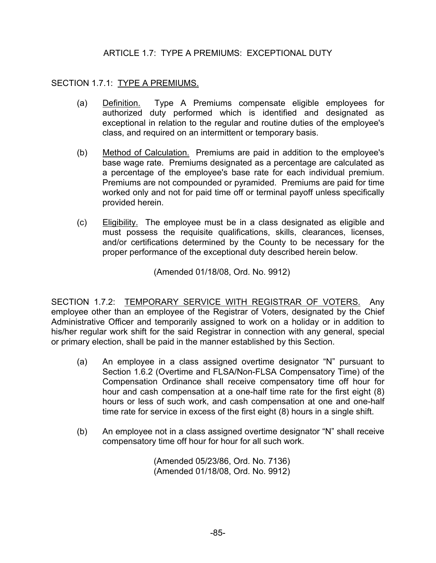### ARTICLE 1.7: TYPE A PREMIUMS: EXCEPTIONAL DUTY

### SECTION 1.7.1: TYPE A PREMIUMS.

- (a) Definition. Type A Premiums compensate eligible employees for authorized duty performed which is identified and designated as exceptional in relation to the regular and routine duties of the employee's class, and required on an intermittent or temporary basis.
- (b) Method of Calculation. Premiums are paid in addition to the employee's base wage rate. Premiums designated as a percentage are calculated as a percentage of the employee's base rate for each individual premium. Premiums are not compounded or pyramided. Premiums are paid for time worked only and not for paid time off or terminal payoff unless specifically provided herein.
- (c) Eligibility. The employee must be in a class designated as eligible and must possess the requisite qualifications, skills, clearances, licenses, and/or certifications determined by the County to be necessary for the proper performance of the exceptional duty described herein below.

(Amended 01/18/08, Ord. No. 9912)

SECTION 1.7.2: TEMPORARY SERVICE WITH REGISTRAR OF VOTERS. Any employee other than an employee of the Registrar of Voters, designated by the Chief Administrative Officer and temporarily assigned to work on a holiday or in addition to his/her regular work shift for the said Registrar in connection with any general, special or primary election, shall be paid in the manner established by this Section.

- (a) An employee in a class assigned overtime designator "N" pursuant to Section 1.6.2 (Overtime and FLSA/Non-FLSA Compensatory Time) of the Compensation Ordinance shall receive compensatory time off hour for hour and cash compensation at a one-half time rate for the first eight (8) hours or less of such work, and cash compensation at one and one-half time rate for service in excess of the first eight (8) hours in a single shift.
- (b) An employee not in a class assigned overtime designator "N" shall receive compensatory time off hour for hour for all such work.

 (Amended 05/23/86, Ord. No. 7136) (Amended 01/18/08, Ord. No. 9912)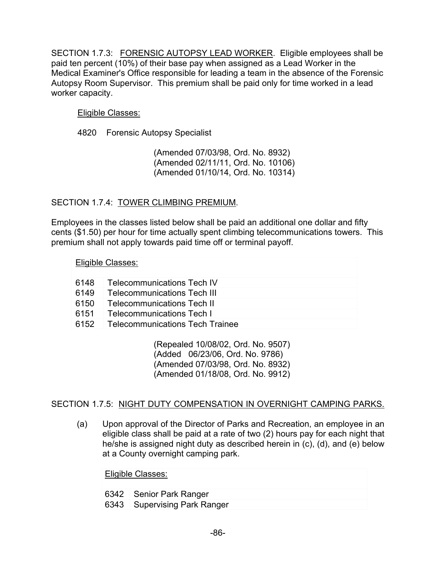SECTION 1.7.3: FORENSIC AUTOPSY LEAD WORKER. Eligible employees shall be paid ten percent (10%) of their base pay when assigned as a Lead Worker in the Medical Examiner's Office responsible for leading a team in the absence of the Forensic Autopsy Room Supervisor. This premium shall be paid only for time worked in a lead worker capacity.

### Eligible Classes:

4820 Forensic Autopsy Specialist

 (Amended 07/03/98, Ord. No. 8932) (Amended 02/11/11, Ord. No. 10106) (Amended 01/10/14, Ord. No. 10314)

## SECTION 1.7.4: TOWER CLIMBING PREMIUM.

Employees in the classes listed below shall be paid an additional one dollar and fifty cents (\$1.50) per hour for time actually spent climbing telecommunications towers. This premium shall not apply towards paid time off or terminal payoff.

| Eligible Classes: |                                        |  |
|-------------------|----------------------------------------|--|
| 6148              | Telecommunications Tech IV             |  |
| 6149              | <b>Telecommunications Tech III</b>     |  |
| 6150              | <b>Telecommunications Tech II</b>      |  |
| 6151              | <b>Telecommunications Tech I</b>       |  |
| 6152              | <b>Telecommunications Tech Trainee</b> |  |
|                   |                                        |  |

 (Repealed 10/08/02, Ord. No. 9507) (Added 06/23/06, Ord. No. 9786) (Amended 07/03/98, Ord. No. 8932) (Amended 01/18/08, Ord. No. 9912)

# SECTION 1.7.5: NIGHT DUTY COMPENSATION IN OVERNIGHT CAMPING PARKS.

(a) Upon approval of the Director of Parks and Recreation, an employee in an eligible class shall be paid at a rate of two (2) hours pay for each night that he/she is assigned night duty as described herein in (c), (d), and (e) below at a County overnight camping park.

Eligible Classes:

6342 Senior Park Ranger

6343 Supervising Park Ranger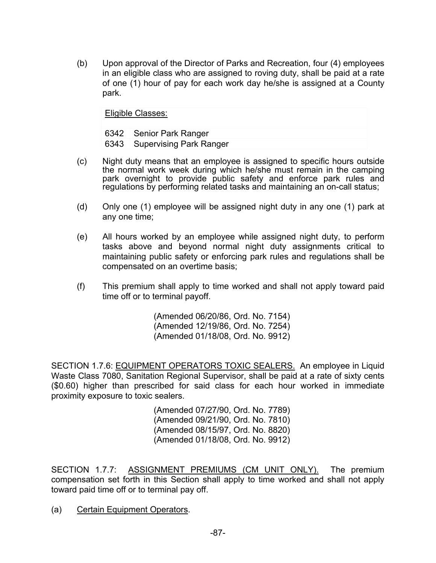(b) Upon approval of the Director of Parks and Recreation, four (4) employees in an eligible class who are assigned to roving duty, shall be paid at a rate of one (1) hour of pay for each work day he/she is assigned at a County park.

Eligible Classes:

6342 Senior Park Ranger 6343 Supervising Park Ranger

- (c) Night duty means that an employee is assigned to specific hours outside the normal work week during which he/she must remain in the camping park overnight to provide public safety and enforce park rules and regulations by performing related tasks and maintaining an on-call status;
- (d) Only one (1) employee will be assigned night duty in any one (1) park at any one time;
- (e) All hours worked by an employee while assigned night duty, to perform tasks above and beyond normal night duty assignments critical to maintaining public safety or enforcing park rules and regulations shall be compensated on an overtime basis;
- (f) This premium shall apply to time worked and shall not apply toward paid time off or to terminal payoff.

 (Amended 06/20/86, Ord. No. 7154) (Amended 12/19/86, Ord. No. 7254) (Amended 01/18/08, Ord. No. 9912)

SECTION 1.7.6: EQUIPMENT OPERATORS TOXIC SEALERS. An employee in Liquid Waste Class 7080, Sanitation Regional Supervisor, shall be paid at a rate of sixty cents (\$0.60) higher than prescribed for said class for each hour worked in immediate proximity exposure to toxic sealers.

> (Amended 07/27/90, Ord. No. 7789) (Amended 09/21/90, Ord. No. 7810) (Amended 08/15/97, Ord. No. 8820) (Amended 01/18/08, Ord. No. 9912)

SECTION 1.7.7: ASSIGNMENT PREMIUMS (CM UNIT ONLY). The premium compensation set forth in this Section shall apply to time worked and shall not apply toward paid time off or to terminal pay off.

(a) Certain Equipment Operators.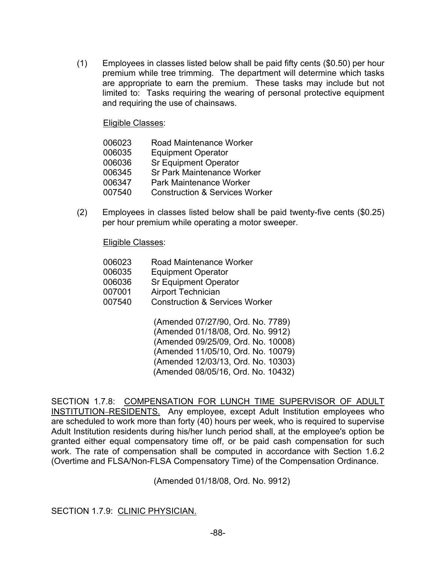(1) Employees in classes listed below shall be paid fifty cents (\$0.50) per hour premium while tree trimming. The department will determine which tasks are appropriate to earn the premium. These tasks may include but not limited to: Tasks requiring the wearing of personal protective equipment and requiring the use of chainsaws.

Eligible Classes:

| 006023 | <b>Road Maintenance Worker</b>            |
|--------|-------------------------------------------|
| 006035 | <b>Equipment Operator</b>                 |
| 006036 | <b>Sr Equipment Operator</b>              |
| 006345 | <b>Sr Park Maintenance Worker</b>         |
| 006347 | <b>Park Maintenance Worker</b>            |
| 007540 | <b>Construction &amp; Services Worker</b> |

(2) Employees in classes listed below shall be paid twenty-five cents (\$0.25) per hour premium while operating a motor sweeper.

Eligible Classes:

| 006023 | Road Maintenance Worker                   |
|--------|-------------------------------------------|
| 006035 | <b>Equipment Operator</b>                 |
| 006036 | <b>Sr Equipment Operator</b>              |
| 007001 | <b>Airport Technician</b>                 |
| 007540 | <b>Construction &amp; Services Worker</b> |
|        | (Amended 07/27/90, Ord, No. 778           |

(Amended 07/27/90, Ord. No. 7789) (Amended 01/18/08, Ord. No. 9912) (Amended 09/25/09, Ord. No. 10008) (Amended 11/05/10, Ord. No. 10079) (Amended 12/03/13, Ord. No. 10303) (Amended 08/05/16, Ord. No. 10432)

SECTION 1.7.8: COMPENSATION FOR LUNCH TIME SUPERVISOR OF ADULT INSTITUTION-RESIDENTS. Any employee, except Adult Institution employees who are scheduled to work more than forty (40) hours per week, who is required to supervise Adult Institution residents during his/her lunch period shall, at the employee's option be granted either equal compensatory time off, or be paid cash compensation for such work. The rate of compensation shall be computed in accordance with Section 1.6.2 (Overtime and FLSA/Non-FLSA Compensatory Time) of the Compensation Ordinance.

(Amended 01/18/08, Ord. No. 9912)

SECTION 1.7.9: CLINIC PHYSICIAN.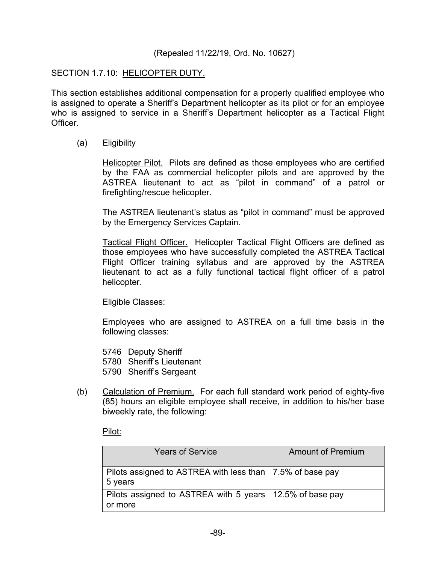#### (Repealed 11/22/19, Ord. No. 10627)

#### SECTION 1.7.10: HELICOPTER DUTY.

This section establishes additional compensation for a properly qualified employee who is assigned to operate a Sheriff's Department helicopter as its pilot or for an employee who is assigned to service in a Sheriff's Department helicopter as a Tactical Flight Officer.

#### (a) Eligibility

 Helicopter Pilot. Pilots are defined as those employees who are certified by the FAA as commercial helicopter pilots and are approved by the ASTREA lieutenant to act as "pilot in command" of a patrol or firefighting/rescue helicopter.

The ASTREA lieutenant's status as "pilot in command" must be approved by the Emergency Services Captain.

 Tactical Flight Officer. Helicopter Tactical Flight Officers are defined as those employees who have successfully completed the ASTREA Tactical Flight Officer training syllabus and are approved by the ASTREA lieutenant to act as a fully functional tactical flight officer of a patrol helicopter.

#### Eligible Classes:

Employees who are assigned to ASTREA on a full time basis in the following classes:

- 5746 Deputy Sheriff
- 5780 Sheriff's Lieutenant
- 5790 Sheriff's Sergeant
- (b) Calculation of Premium. For each full standard work period of eighty-five (85) hours an eligible employee shall receive, in addition to his/her base biweekly rate, the following:

Pilot:

| <b>Years of Service</b>                                                | <b>Amount of Premium</b> |
|------------------------------------------------------------------------|--------------------------|
| Pilots assigned to ASTREA with less than   7.5% of base pay<br>5 years |                          |
| Pilots assigned to ASTREA with 5 years   12.5% of base pay<br>or more  |                          |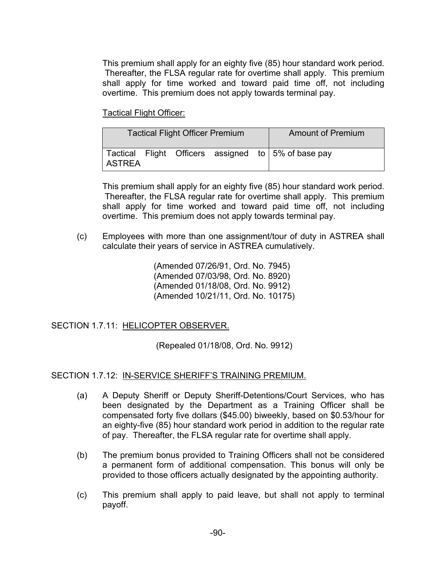This premium shall apply for an eighty five (85) hour standard work period. Thereafter, the FLSA regular rate for overtime shall apply. This premium shall apply for time worked and toward paid time off, not including overtime. This premium does not apply towards terminal pay.

Tactical Flight Officer:

| <b>Tactical Flight Officer Premium</b> |  |  | <b>Amount of Premium</b> |  |                                                                  |
|----------------------------------------|--|--|--------------------------|--|------------------------------------------------------------------|
| <b>ASTREA</b>                          |  |  |                          |  | Tactical Flight Officers assigned to $\frac{1}{5\%}$ of base pay |

This premium shall apply for an eighty five (85) hour standard work period. Thereafter, the FLSA regular rate for overtime shall apply. This premium shall apply for time worked and toward paid time off, not including overtime. This premium does not apply towards terminal pay.

(c) Employees with more than one assignment/tour of duty in ASTREA shall calculate their years of service in ASTREA cumulatively.

> (Amended 07/26/91, Ord. No. 7945) (Amended 07/03/98, Ord. No. 8920) (Amended 01/18/08, Ord. No. 9912) (Amended 10/21/11, Ord. No. 10175)

SECTION 1.7.11: HELICOPTER OBSERVER.

(Repealed 01/18/08, Ord. No. 9912)

### SECTION 1.7.12: IN-SERVICE SHERIFF'S TRAINING PREMIUM.

- (a) A Deputy Sheriff or Deputy Sheriff-Detentions/Court Services, who has been designated by the Department as a Training Officer shall be compensated forty five dollars (\$45.00) biweekly, based on \$0.53/hour for an eighty-five (85) hour standard work period in addition to the regular rate of pay. Thereafter, the FLSA regular rate for overtime shall apply.
- (b) The premium bonus provided to Training Officers shall not be considered a permanent form of additional compensation. This bonus will only be provided to those officers actually designated by the appointing authority.
- (c) This premium shall apply to paid leave, but shall not apply to terminal payoff.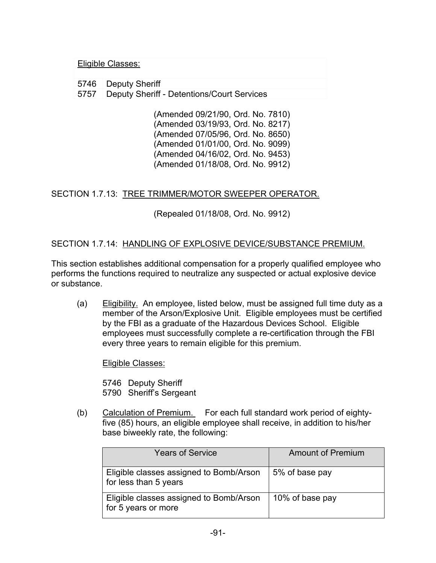#### Eligible Classes:

5746 Deputy Sheriff 5757 Deputy Sheriff - Detentions/Court Services

> (Amended 09/21/90, Ord. No. 7810) (Amended 03/19/93, Ord. No. 8217) (Amended 07/05/96, Ord. No. 8650) (Amended 01/01/00, Ord. No. 9099) (Amended 04/16/02, Ord. No. 9453) (Amended 01/18/08, Ord. No. 9912)

### SECTION 1.7.13: TREE TRIMMER/MOTOR SWEEPER OPERATOR.

(Repealed 01/18/08, Ord. No. 9912)

### SECTION 1.7.14: HANDLING OF EXPLOSIVE DEVICE/SUBSTANCE PREMIUM.

This section establishes additional compensation for a properly qualified employee who performs the functions required to neutralize any suspected or actual explosive device or substance.

(a) Eligibility. An employee, listed below, must be assigned full time duty as a member of the Arson/Explosive Unit. Eligible employees must be certified by the FBI as a graduate of the Hazardous Devices School. Eligible employees must successfully complete a re-certification through the FBI every three years to remain eligible for this premium.

Eligible Classes:

 5746 Deputy Sheriff 5790 Sheriff's Sergeant

(b) Calculation of Premium. For each full standard work period of eightyfive (85) hours, an eligible employee shall receive, in addition to his/her base biweekly rate, the following:

| <b>Years of Service</b>                                          | <b>Amount of Premium</b> |
|------------------------------------------------------------------|--------------------------|
| Eligible classes assigned to Bomb/Arson<br>for less than 5 years | 5% of base pay           |
| Eligible classes assigned to Bomb/Arson<br>for 5 years or more   | 10% of base pay          |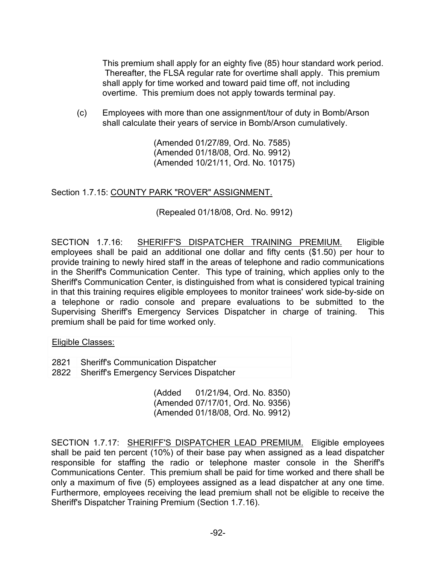This premium shall apply for an eighty five (85) hour standard work period. Thereafter, the FLSA regular rate for overtime shall apply. This premium shall apply for time worked and toward paid time off, not including overtime. This premium does not apply towards terminal pay.

(c) Employees with more than one assignment/tour of duty in Bomb/Arson shall calculate their years of service in Bomb/Arson cumulatively.

> (Amended 01/27/89, Ord. No. 7585) (Amended 01/18/08, Ord. No. 9912) (Amended 10/21/11, Ord. No. 10175)

### Section 1.7.15: COUNTY PARK "ROVER" ASSIGNMENT.

(Repealed 01/18/08, Ord. No. 9912)

SECTION 1.7.16: SHERIFF'S DISPATCHER TRAINING PREMIUM. Eligible employees shall be paid an additional one dollar and fifty cents (\$1.50) per hour to provide training to newly hired staff in the areas of telephone and radio communications in the Sheriff's Communication Center. This type of training, which applies only to the Sheriff's Communication Center, is distinguished from what is considered typical training in that this training requires eligible employees to monitor trainees' work side-by-side on a telephone or radio console and prepare evaluations to be submitted to the Supervising Sheriff's Emergency Services Dispatcher in charge of training. This premium shall be paid for time worked only.

Eligible Classes:

- 2821 Sheriff's Communication Dispatcher
- 2822 Sheriff's Emergency Services Dispatcher

(Added 01/21/94, Ord. No. 8350) (Amended 07/17/01, Ord. No. 9356) (Amended 01/18/08, Ord. No. 9912)

SECTION 1.7.17: SHERIFF'S DISPATCHER LEAD PREMIUM. Eligible employees shall be paid ten percent (10%) of their base pay when assigned as a lead dispatcher responsible for staffing the radio or telephone master console in the Sheriff's Communications Center. This premium shall be paid for time worked and there shall be only a maximum of five (5) employees assigned as a lead dispatcher at any one time. Furthermore, employees receiving the lead premium shall not be eligible to receive the Sheriff's Dispatcher Training Premium (Section 1.7.16).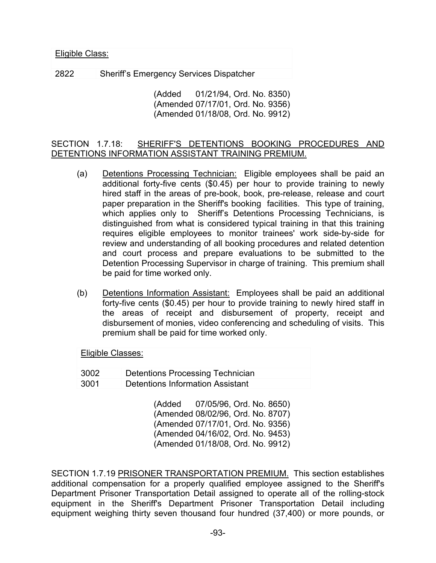| <u> Eligible Class:</u> |                                                |  |
|-------------------------|------------------------------------------------|--|
| 2822                    | <b>Sheriff's Emergency Services Dispatcher</b> |  |

(Added 01/21/94, Ord. No. 8350) (Amended 07/17/01, Ord. No. 9356) (Amended 01/18/08, Ord. No. 9912)

SECTION 1.7.18: SHERIFF'S DETENTIONS BOOKING PROCEDURES AND DETENTIONS INFORMATION ASSISTANT TRAINING PREMIUM.

- (a) Detentions Processing Technician: Eligible employees shall be paid an additional forty-five cents (\$0.45) per hour to provide training to newly hired staff in the areas of pre-book, book, pre-release, release and court paper preparation in the Sheriff's booking facilities. This type of training, which applies only to Sheriff's Detentions Processing Technicians, is distinguished from what is considered typical training in that this training requires eligible employees to monitor trainees' work side-by-side for review and understanding of all booking procedures and related detention and court process and prepare evaluations to be submitted to the Detention Processing Supervisor in charge of training. This premium shall be paid for time worked only.
- (b) Detentions Information Assistant: Employees shall be paid an additional forty-five cents (\$0.45) per hour to provide training to newly hired staff in the areas of receipt and disbursement of property, receipt and disbursement of monies, video conferencing and scheduling of visits. This premium shall be paid for time worked only.

| Eligible Classes: |                                         |  |
|-------------------|-----------------------------------------|--|
| 3002              | <b>Detentions Processing Technician</b> |  |
| 3001              | Detentions Information Assistant        |  |

(Added 07/05/96, Ord. No. 8650) (Amended 08/02/96, Ord. No. 8707) (Amended 07/17/01, Ord. No. 9356) (Amended 04/16/02, Ord. No. 9453) (Amended 01/18/08, Ord. No. 9912)

SECTION 1.7.19 PRISONER TRANSPORTATION PREMIUM. This section establishes additional compensation for a properly qualified employee assigned to the Sheriff's Department Prisoner Transportation Detail assigned to operate all of the rolling-stock equipment in the Sheriff's Department Prisoner Transportation Detail including equipment weighing thirty seven thousand four hundred (37,400) or more pounds, or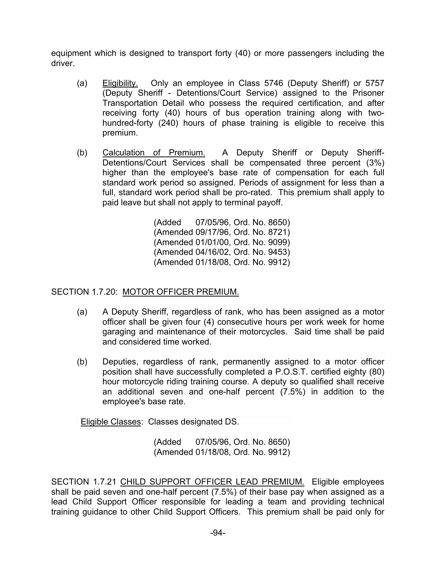equipment which is designed to transport forty (40) or more passengers including the driver.

- (a) Eligibility. Only an employee in Class 5746 (Deputy Sheriff) or 5757 (Deputy Sheriff - Detentions/Court Service) assigned to the Prisoner Transportation Detail who possess the required certification, and after receiving forty (40) hours of bus operation training along with twohundred-forty (240) hours of phase training is eligible to receive this premium.
- (b) Calculation of Premium. A Deputy Sheriff or Deputy Sheriff-Detentions/Court Services shall be compensated three percent (3%) higher than the employee's base rate of compensation for each full standard work period so assigned. Periods of assignment for less than a full, standard work period shall be pro-rated. This premium shall apply to paid leave but shall not apply to terminal payoff.

(Added 07/05/96, Ord. No. 8650) (Amended 09/17/96, Ord. No. 8721) (Amended 01/01/00, Ord. No. 9099) (Amended 04/16/02, Ord. No. 9453) (Amended 01/18/08, Ord. No. 9912)

### SECTION 1.7.20: MOTOR OFFICER PREMIUM.

- (a) A Deputy Sheriff, regardless of rank, who has been assigned as a motor officer shall be given four (4) consecutive hours per work week for home garaging and maintenance of their motorcycles. Said time shall be paid and considered time worked.
- (b) Deputies, regardless of rank, permanently assigned to a motor officer position shall have successfully completed a P.O.S.T. certified eighty (80) hour motorcycle riding training course. A deputy so qualified shall receive an additional seven and one-half percent (7.5%) in addition to the employee's base rate.

Eligible Classes: Classes designated DS.

(Added 07/05/96, Ord. No. 8650) (Amended 01/18/08, Ord. No. 9912)

SECTION 1.7.21 CHILD SUPPORT OFFICER LEAD PREMIUM. Eligible employees shall be paid seven and one-half percent (7.5%) of their base pay when assigned as a lead Child Support Officer responsible for leading a team and providing technical training guidance to other Child Support Officers. This premium shall be paid only for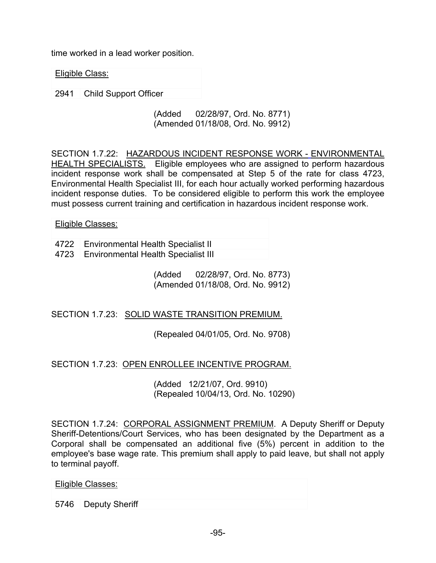time worked in a lead worker position.

Eligible Class:

2941 Child Support Officer

(Added 02/28/97, Ord. No. 8771) (Amended 01/18/08, Ord. No. 9912)

SECTION 1.7.22: HAZARDOUS INCIDENT RESPONSE WORK - ENVIRONMENTAL HEALTH SPECIALISTS. Eligible employees who are assigned to perform hazardous incident response work shall be compensated at Step 5 of the rate for class 4723, Environmental Health Specialist III, for each hour actually worked performing hazardous incident response duties. To be considered eligible to perform this work the employee must possess current training and certification in hazardous incident response work.

Eligible Classes:

4722 Environmental Health Specialist II 4723 Environmental Health Specialist III

> (Added 02/28/97, Ord. No. 8773) (Amended 01/18/08, Ord. No. 9912)

SECTION 1.7.23: SOLID WASTE TRANSITION PREMIUM.

(Repealed 04/01/05, Ord. No. 9708)

SECTION 1.7.23: OPEN ENROLLEE INCENTIVE PROGRAM.

(Added 12/21/07, Ord. 9910) (Repealed 10/04/13, Ord. No. 10290)

SECTION 1.7.24: CORPORAL ASSIGNMENT PREMIUM. A Deputy Sheriff or Deputy Sheriff-Detentions/Court Services, who has been designated by the Department as a Corporal shall be compensated an additional five (5%) percent in addition to the employee's base wage rate. This premium shall apply to paid leave, but shall not apply to terminal payoff.

Eligible Classes:

5746 Deputy Sheriff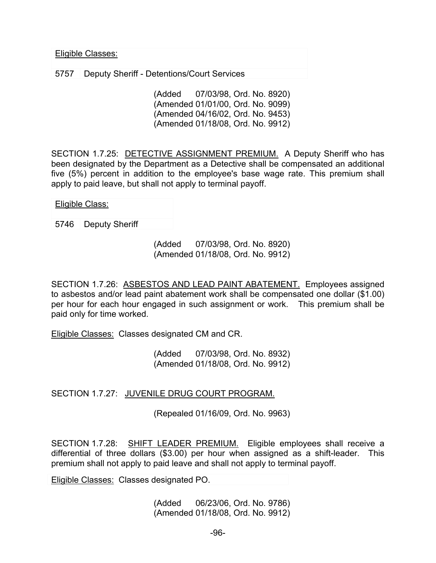Eligible Classes:

5757 Deputy Sheriff - Detentions/Court Services

(Added 07/03/98, Ord. No. 8920) (Amended 01/01/00, Ord. No. 9099) (Amended 04/16/02, Ord. No. 9453) (Amended 01/18/08, Ord. No. 9912)

SECTION 1.7.25: DETECTIVE ASSIGNMENT PREMIUM. A Deputy Sheriff who has been designated by the Department as a Detective shall be compensated an additional five (5%) percent in addition to the employee's base wage rate. This premium shall apply to paid leave, but shall not apply to terminal payoff.

Eligible Class:

5746 Deputy Sheriff

(Added 07/03/98, Ord. No. 8920) (Amended 01/18/08, Ord. No. 9912)

SECTION 1.7.26: ASBESTOS AND LEAD PAINT ABATEMENT. Employees assigned to asbestos and/or lead paint abatement work shall be compensated one dollar (\$1.00) per hour for each hour engaged in such assignment or work. This premium shall be paid only for time worked.

Eligible Classes: Classes designated CM and CR.

(Added 07/03/98, Ord. No. 8932) (Amended 01/18/08, Ord. No. 9912)

SECTION 1.7.27: JUVENILE DRUG COURT PROGRAM.

(Repealed 01/16/09, Ord. No. 9963)

SECTION 1.7.28: SHIFT LEADER PREMIUM. Eligible employees shall receive a differential of three dollars (\$3.00) per hour when assigned as a shift-leader. This premium shall not apply to paid leave and shall not apply to terminal payoff.

Eligible Classes: Classes designated PO.

(Added 06/23/06, Ord. No. 9786) (Amended 01/18/08, Ord. No. 9912)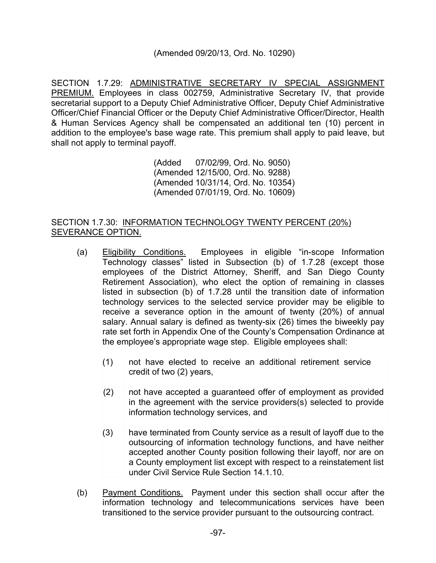### (Amended 09/20/13, Ord. No. 10290)

SECTION 1.7.29: ADMINISTRATIVE SECRETARY IV SPECIAL ASSIGNMENT PREMIUM. Employees in class 002759, Administrative Secretary IV, that provide secretarial support to a Deputy Chief Administrative Officer, Deputy Chief Administrative Officer/Chief Financial Officer or the Deputy Chief Administrative Officer/Director, Health & Human Services Agency shall be compensated an additional ten (10) percent in addition to the employee's base wage rate. This premium shall apply to paid leave, but shall not apply to terminal payoff.

> (Added 07/02/99, Ord. No. 9050) (Amended 12/15/00, Ord. No. 9288) (Amended 10/31/14, Ord. No. 10354) (Amended 07/01/19, Ord. No. 10609)

### SECTION 1.7.30: INFORMATION TECHNOLOGY TWENTY PERCENT (20%) SEVERANCE OPTION.

- (a) Eligibility Conditions. Employees in eligible "in-scope Information Technology classes" listed in Subsection (b) of 1.7.28 (except those employees of the District Attorney, Sheriff, and San Diego County Retirement Association), who elect the option of remaining in classes listed in subsection (b) of 1.7.28 until the transition date of information technology services to the selected service provider may be eligible to receive a severance option in the amount of twenty (20%) of annual salary. Annual salary is defined as twenty-six (26) times the biweekly pay rate set forth in Appendix One of the County's Compensation Ordinance at the employee's appropriate wage step. Eligible employees shall:
	- (1) not have elected to receive an additional retirement service credit of two (2) years,
	- (2) not have accepted a guaranteed offer of employment as provided in the agreement with the service providers(s) selected to provide information technology services, and
	- (3) have terminated from County service as a result of layoff due to the outsourcing of information technology functions, and have neither accepted another County position following their layoff, nor are on a County employment list except with respect to a reinstatement list under Civil Service Rule Section 14.1.10.
- (b) Payment Conditions. Payment under this section shall occur after the information technology and telecommunications services have been transitioned to the service provider pursuant to the outsourcing contract.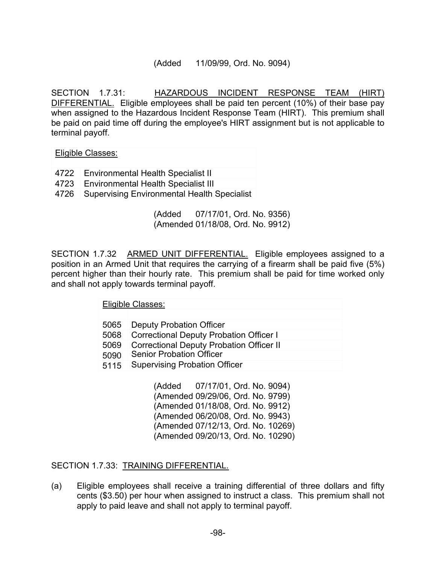#### (Added 11/09/99, Ord. No. 9094)

SECTION 1.7.31: HAZARDOUS INCIDENT RESPONSE TEAM (HIRT) DIFFERENTIAL. Eligible employees shall be paid ten percent (10%) of their base pay when assigned to the Hazardous Incident Response Team (HIRT). This premium shall be paid on paid time off during the employee's HIRT assignment but is not applicable to terminal payoff.

Eligible Classes:

- 4722 Environmental Health Specialist II
- 4723 Environmental Health Specialist III
- 4726 Supervising Environmental Health Specialist

(Added 07/17/01, Ord. No. 9356) (Amended 01/18/08, Ord. No. 9912)

SECTION 1.7.32 ARMED UNIT DIFFERENTIAL. Eligible employees assigned to a position in an Armed Unit that requires the carrying of a firearm shall be paid five (5%) percent higher than their hourly rate. This premium shall be paid for time worked only and shall not apply towards terminal payoff.

Eligible Classes:

- 5065 Deputy Probation Officer
- 5068 Correctional Deputy Probation Officer I
- 5069 Correctional Deputy Probation Officer II
- 5090 Senior Probation Officer
- 5115 Supervising Probation Officer

(Added 07/17/01, Ord. No. 9094) (Amended 09/29/06, Ord. No. 9799) (Amended 01/18/08, Ord. No. 9912) (Amended 06/20/08, Ord. No. 9943) (Amended 07/12/13, Ord. No. 10269) (Amended 09/20/13, Ord. No. 10290)

SECTION 1.7.33: TRAINING DIFFERENTIAL.

(a) Eligible employees shall receive a training differential of three dollars and fifty cents (\$3.50) per hour when assigned to instruct a class. This premium shall not apply to paid leave and shall not apply to terminal payoff.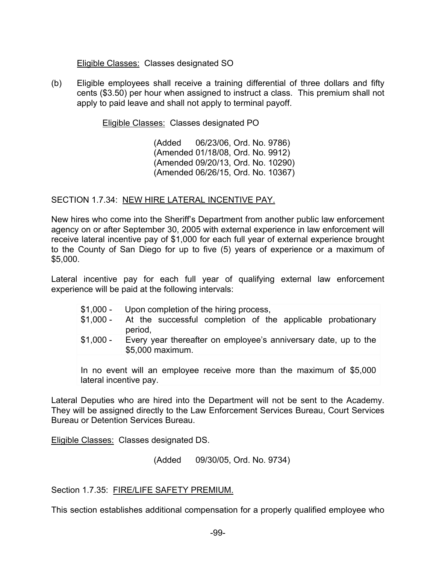#### Eligible Classes: Classes designated SO

(b) Eligible employees shall receive a training differential of three dollars and fifty cents (\$3.50) per hour when assigned to instruct a class. This premium shall not apply to paid leave and shall not apply to terminal payoff.

Eligible Classes: Classes designated PO

(Added 06/23/06, Ord. No. 9786) (Amended 01/18/08, Ord. No. 9912) (Amended 09/20/13, Ord. No. 10290) (Amended 06/26/15, Ord. No. 10367)

### SECTION 1.7.34: NEW HIRE LATERAL INCENTIVE PAY.

New hires who come into the Sheriff's Department from another public law enforcement agency on or after September 30, 2005 with external experience in law enforcement will receive lateral incentive pay of \$1,000 for each full year of external experience brought to the County of San Diego for up to five (5) years of experience or a maximum of \$5,000.

Lateral incentive pay for each full year of qualifying external law enforcement experience will be paid at the following intervals:

|            | \$1,000 - Upon completion of the hiring process,                                    |
|------------|-------------------------------------------------------------------------------------|
| $$1.000 -$ | At the successful completion of the applicable probationary<br>period,              |
| $$1,000 -$ | Every year thereafter on employee's anniversary date, up to the<br>\$5,000 maximum. |

In no event will an employee receive more than the maximum of \$5,000 lateral incentive pay.

Lateral Deputies who are hired into the Department will not be sent to the Academy. They will be assigned directly to the Law Enforcement Services Bureau, Court Services Bureau or Detention Services Bureau.

Eligible Classes: Classes designated DS.

(Added 09/30/05, Ord. No. 9734)

Section 1.7.35: FIRE/LIFE SAFETY PREMIUM.

This section establishes additional compensation for a properly qualified employee who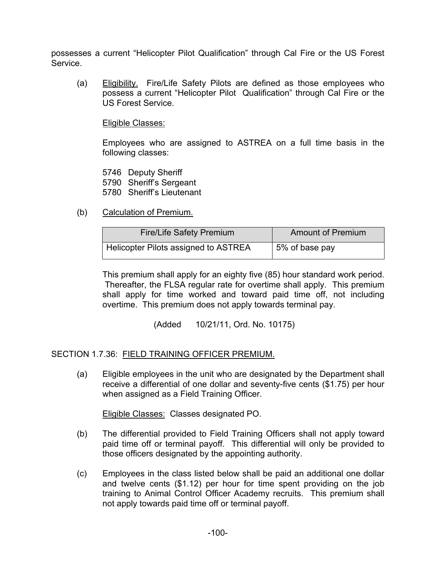possesses a current "Helicopter Pilot Qualification" through Cal Fire or the US Forest Service.

(a) Eligibility. Fire/Life Safety Pilots are defined as those employees who possess a current "Helicopter Pilot Qualification" through Cal Fire or the US Forest Service.

Eligible Classes:

Employees who are assigned to ASTREA on a full time basis in the following classes:

5746 Deputy Sheriff 5790 Sheriff's Sergeant 5780 Sheriff's Lieutenant

(b) Calculation of Premium.

| <b>Fire/Life Safety Premium</b>      | <b>Amount of Premium</b> |
|--------------------------------------|--------------------------|
| Helicopter Pilots assigned to ASTREA | 5% of base pay           |

This premium shall apply for an eighty five (85) hour standard work period. Thereafter, the FLSA regular rate for overtime shall apply. This premium shall apply for time worked and toward paid time off, not including overtime. This premium does not apply towards terminal pay.

(Added 10/21/11, Ord. No. 10175)

SECTION 1.7.36: FIELD TRAINING OFFICER PREMIUM.

(a) Eligible employees in the unit who are designated by the Department shall receive a differential of one dollar and seventy-five cents (\$1.75) per hour when assigned as a Field Training Officer.

Eligible Classes: Classes designated PO.

- (b) The differential provided to Field Training Officers shall not apply toward paid time off or terminal payoff. This differential will only be provided to those officers designated by the appointing authority.
- (c) Employees in the class listed below shall be paid an additional one dollar and twelve cents (\$1.12) per hour for time spent providing on the job training to Animal Control Officer Academy recruits. This premium shall not apply towards paid time off or terminal payoff.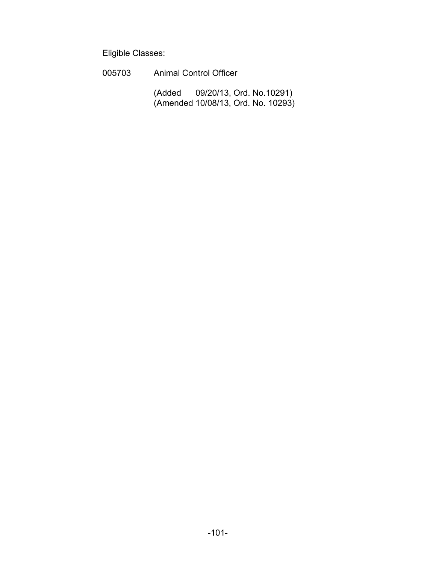Eligible Classes:

 005703 Animal Control Officer (Added 09/20/13, Ord. No.10291) (Amended 10/08/13, Ord. No. 10293)